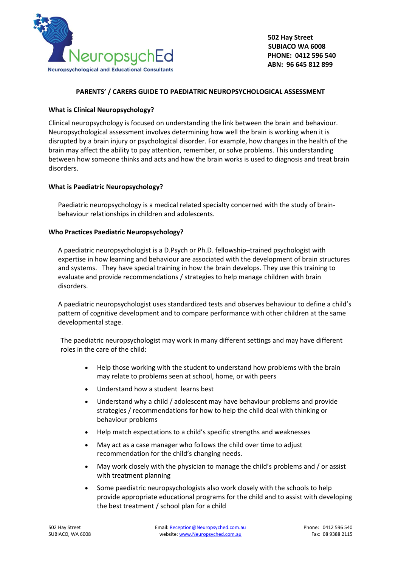

# **PARENTS' / CARERS GUIDE TO PAEDIATRIC NEUROPSYCHOLOGICAL ASSESSMENT**

# **What is Clinical Neuropsychology?**

Clinical neuropsychology is focused on understanding the link between the brain and behaviour. Neuropsychological assessment involves determining how well the brain is working when it is disrupted by a brain injury or psychological disorder. For example, how changes in the health of the brain may affect the ability to pay attention, remember, or solve problems. This understanding between how someone thinks and acts and how the brain works is used to diagnosis and treat brain disorders.

## **What is Paediatric Neuropsychology?**

Paediatric neuropsychology is a medical related specialty concerned with the study of brainbehaviour relationships in children and adolescents.

## **Who Practices Paediatric Neuropsychology?**

A paediatric neuropsychologist is a D.Psych or Ph.D. fellowship–trained psychologist with expertise in how learning and behaviour are associated with the development of brain structures and systems. They have special training in how the brain develops. They use this training to evaluate and provide recommendations / strategies to help manage children with brain disorders.

A paediatric neuropsychologist uses standardized tests and observes behaviour to define a child's pattern of cognitive development and to compare performance with other children at the same developmental stage.

The paediatric neuropsychologist may work in many different settings and may have different roles in the care of the child:

- Help those working with the student to understand how problems with the brain may relate to problems seen at school, home, or with peers
- Understand how a student learns best
- Understand why a child / adolescent may have behaviour problems and provide strategies / recommendations for how to help the child deal with thinking or behaviour problems
- Help match expectations to a child's specific strengths and weaknesses
- May act as a case manager who follows the child over time to adjust recommendation for the child's changing needs.
- May work closely with the physician to manage the child's problems and / or assist with treatment planning
- Some paediatric neuropsychologists also work closely with the schools to help provide appropriate educational programs for the child and to assist with developing the best treatment / school plan for a child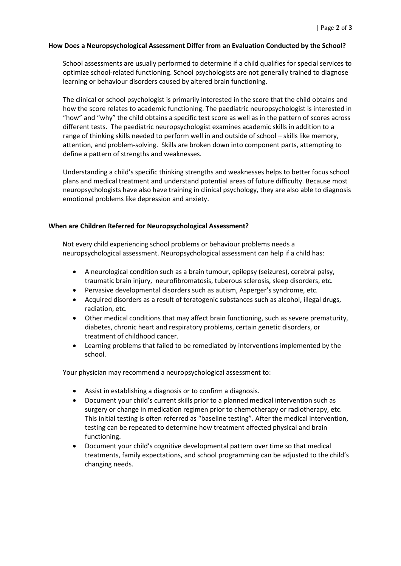#### **How Does a Neuropsychological Assessment Differ from an Evaluation Conducted by the School?**

School assessments are usually performed to determine if a child qualifies for special services to optimize school-related functioning. School psychologists are not generally trained to diagnose learning or behaviour disorders caused by altered brain functioning.

The clinical or school psychologist is primarily interested in the score that the child obtains and how the score relates to academic functioning. The paediatric neuropsychologist is interested in "how" and "why" the child obtains a specific test score as well as in the pattern of scores across different tests. The paediatric neuropsychologist examines academic skills in addition to a range of thinking skills needed to perform well in and outside of school – skills like memory, attention, and problem-solving. Skills are broken down into component parts, attempting to define a pattern of strengths and weaknesses.

Understanding a child's specific thinking strengths and weaknesses helps to better focus school plans and medical treatment and understand potential areas of future difficulty. Because most neuropsychologists have also have training in clinical psychology, they are also able to diagnosis emotional problems like depression and anxiety.

### **When are Children Referred for Neuropsychological Assessment?**

Not every child experiencing school problems or behaviour problems needs a neuropsychological assessment. Neuropsychological assessment can help if a child has:

- A neurological condition such as a brain tumour, epilepsy (seizures), cerebral palsy, traumatic brain injury, neurofibromatosis, tuberous sclerosis, sleep disorders, etc.
- Pervasive developmental disorders such as autism, Asperger's syndrome, etc.
- Acquired disorders as a result of teratogenic substances such as alcohol, illegal drugs, radiation, etc.
- Other medical conditions that may affect brain functioning, such as severe prematurity, diabetes, chronic heart and respiratory problems, certain genetic disorders, or treatment of childhood cancer.
- Learning problems that failed to be remediated by interventions implemented by the school.

Your physician may recommend a neuropsychological assessment to:

- Assist in establishing a diagnosis or to confirm a diagnosis.
- Document your child's current skills prior to a planned medical intervention such as surgery or change in medication regimen prior to chemotherapy or radiotherapy, etc. This initial testing is often referred as "baseline testing". After the medical intervention, testing can be repeated to determine how treatment affected physical and brain functioning.
- Document your child's cognitive developmental pattern over time so that medical treatments, family expectations, and school programming can be adjusted to the child's changing needs.